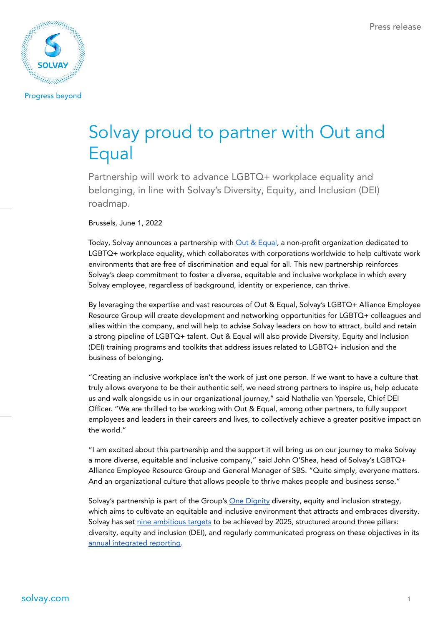

**Progress beyond** 

# Solvay proud to partner with Out and Equal

Partnership will work to advance LGBTQ+ workplace equality and belonging, in line with Solvay's Diversity, Equity, and Inclusion (DEI) roadmap.

#### Brussels, June 1, 2022

Today, Solvay announces a partnership with Out & [Equal,](https://outandequal.org/) a non-profit organization dedicated to LGBTQ+ workplace equality, which collaborates with corporations worldwide to help cultivate work environments that are free of discrimination and equal for all. This new partnership reinforces Solvay's deep commitment to foster a diverse, equitable and inclusive workplace in which every Solvay employee, regardless of background, identity or experience, can thrive.

By leveraging the expertise and vast resources of Out & Equal, Solvay's LGBTQ+ Alliance Employee Resource Group will create development and networking opportunities for LGBTQ+ colleagues and allies within the company, and will help to advise Solvay leaders on how to attract, build and retain a strong pipeline of LGBTQ+ talent. Out & Equal will also provide Diversity, Equity and Inclusion (DEI) training programs and toolkits that address issues related to LGBTQ+ inclusion and the business of belonging.

"Creating an inclusive workplace isn't the work of just one person. If we want to have a culture that truly allows everyone to be their authentic self, we need strong partners to inspire us, help educate us and walk alongside us in our organizational journey," said Nathalie van Ypersele, Chief DEI Officer. "We are thrilled to be working with Out & Equal, among other partners, to fully support employees and leaders in their careers and lives, to collectively achieve a greater positive impact on the world."

"I am excited about this partnership and the support it will bring us on our journey to make Solvay a more diverse, equitable and inclusive company," said John O'Shea, head of Solvay's LGBTQ+ Alliance Employee Resource Group and General Manager of SBS. "Quite simply, everyone matters. And an organizational culture that allows people to thrive makes people and business sense."

Solvay's partnership is part of the Group's One [Dignity](https://www.solvay.com/en/our-company/diversity-equity-and-inclusion) diversity, equity and inclusion strategy, which aims to cultivate an equitable and inclusive environment that attracts and embraces diversity. Solvay has set nine [ambitious](https://www.solvay.com/en/our-company/diversity-equity-and-inclusion) targets to be achieved by 2025, structured around three pillars: diversity, equity and inclusion (DEI), and regularly communicated progress on these objectives in its annual [integrated](https://www.solvay.com/en/publications) reporting.